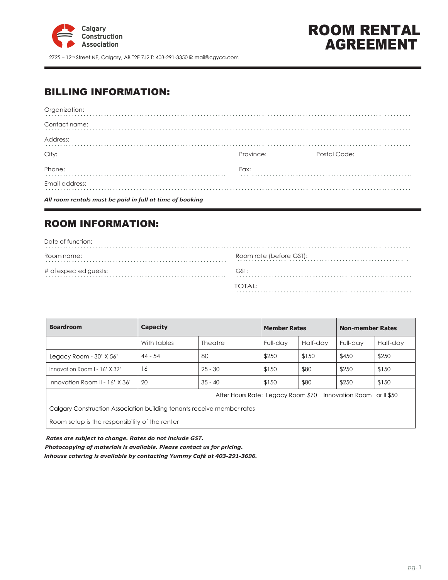

2725 – 12th Street NE, Calgary, AB T2E 7J2 **T**: 403-291-3350 **E**: mail@cgyca.com

# ROOM RENTAL AGREEMENT

# BILLING INFORMATION:

| All room rentals must be paid in full at time of booking |                                                                                                                                                                                                                               |              |
|----------------------------------------------------------|-------------------------------------------------------------------------------------------------------------------------------------------------------------------------------------------------------------------------------|--------------|
| Email address:                                           |                                                                                                                                                                                                                               |              |
| Phone:                                                   | Fax:                                                                                                                                                                                                                          |              |
| City:                                                    | Province: The contract of the contract of the contract of the contract of the contract of the contract of the contract of the contract of the contract of the contract of the contract of the contract of the contract of the | Postal Code: |
| Address:                                                 |                                                                                                                                                                                                                               |              |
| Contact name:                                            |                                                                                                                                                                                                                               |              |
| Organization:                                            |                                                                                                                                                                                                                               |              |

# ROOM INFORMATION:

| Date of function:     |                         |
|-----------------------|-------------------------|
| Room name:            | Room rate (before GST): |
| # of expected guests: | GST:                    |
|                       | TOTAL:                  |

| <b>Boardroom</b>                                                       | <b>Capacity</b> |           | <b>Member Rates</b> |          | <b>Non-member Rates</b> |          |
|------------------------------------------------------------------------|-----------------|-----------|---------------------|----------|-------------------------|----------|
|                                                                        | With tables     | Theatre   | Full-day            | Half-day | Full-dav                | Half-day |
| Legacy Room - 30' X 56'                                                | $44 - 54$       | 80        | \$250               | \$150    | \$450                   | \$250    |
| Innovation Room I - 16' X 32'                                          | 16              | $25 - 30$ | \$150               | \$80     | \$250                   | \$150    |
| Innovation Room II - $16'$ X $36'$                                     | 20              | $35 - 40$ | \$150               | \$80     | \$250                   | \$150    |
| After Hours Rate: Legacy Room \$70<br>Innovation Room I or II \$50     |                 |           |                     |          |                         |          |
| Calgary Construction Association building tenants receive member rates |                 |           |                     |          |                         |          |
| Room setup is the responsibility of the renter                         |                 |           |                     |          |                         |          |

 $\bar{1}$  $\bar{\beta}$ 

*Rates are subject to change. Rates do not include GST.*

 *Photocopying of materials is available. Please contact us for pricing.*

 *Inhouse catering is available by contacting Yummy Café at 403-291-3696.*